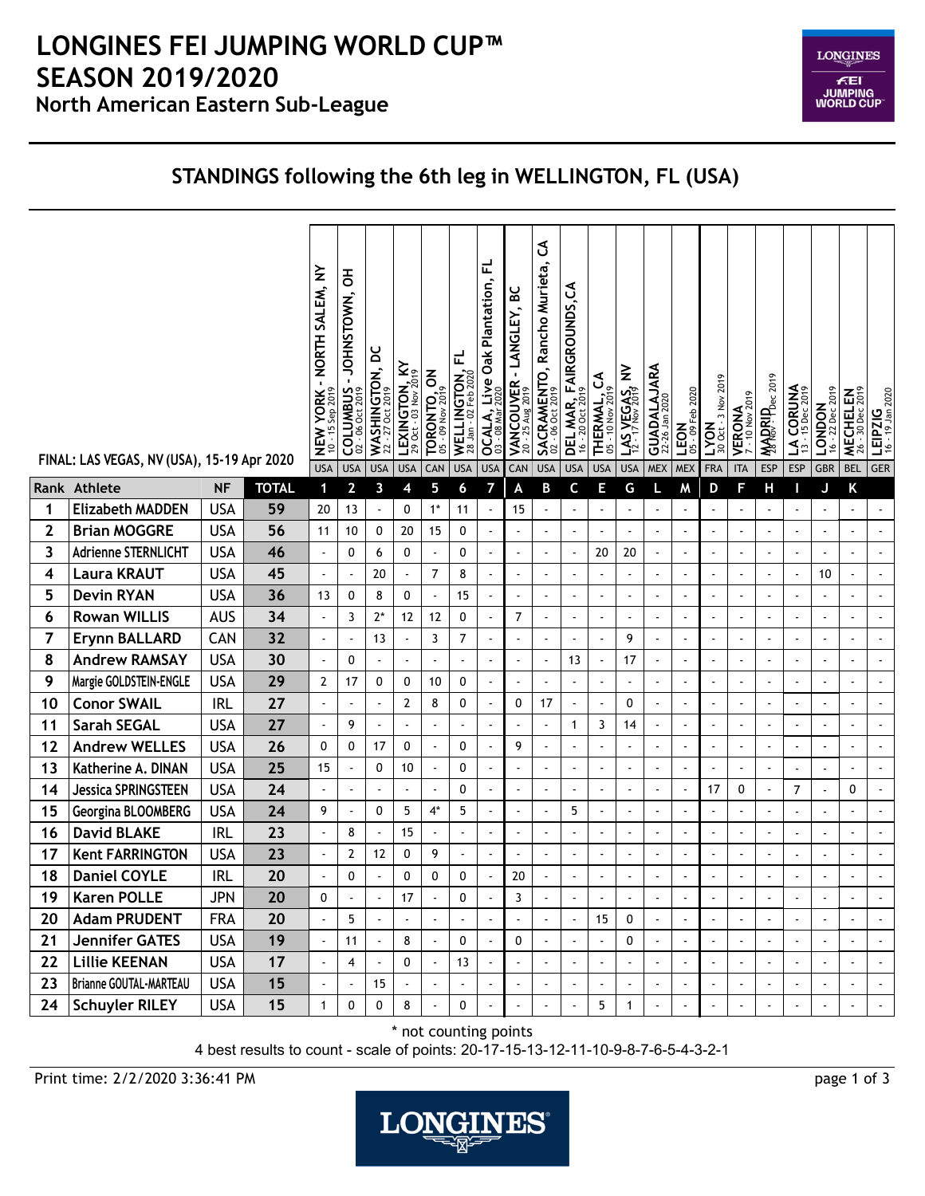## **North American Eastern Sub-League LONGINES FEI JUMPING WORLD CUP™ SEASON 2019/2020**



## **STANDINGS following the 6th leg in WELLINGTON, FL (USA)**

|              | FINAL: LAS VEGAS, NV (USA), 15-19 Apr 2020 |            |              | - NORTH SALEM, NY<br><b>NEW YORK</b><br>$10 - 15$ Sep 2019<br><b>USA</b> | 공<br>-JOHNSTOWN,<br>COLUMBUS<br><b>USA</b> | WASHINGTON, DC<br><b>USA</b> | LEXINGTON, KY<br>29 Oct - 03 Nov 2019<br><b>USA</b> | <b>TORONTO, ON</b><br>CAN | ᇆ<br>WELLINGTON,<br>28 Jan - 02 Feb 2020<br><b>USA</b> | 군<br>Oak Plantation,<br><b>OCALA, Live</b><br>03 - 08 Mar 2020<br><b>USA</b> | <b>VANCOUVER - LANGLEY, BC</b><br>20 - 25 Aug 2019<br>CAN | ვ<br><b>SACRAMENTO, Rancho Murieta,</b><br>02 - 06 Oct 2019<br><b>USA</b> | <b>DEL MAR, FAIRGROUNDS, CA</b><br>16 - 20 Oct 2019<br><b>USA</b> | THERMAL, CA<br><b>USA</b> | 1.45, 7.593, 8<br><b>USA</b> | GUADALAJARA<br><b>MEX</b> | <b>LEON</b><br>$05 - 09$ Feb 2020<br><b>MEX</b> | 3 Nov 2019<br>LYON<br>30 Oct<br><b>FRA</b> | <b>VERONA</b><br><b>ITA</b> | <b>MARRIPDec 2019</b><br><b>ESP</b> | $LA CORUNA$<br>13 - 15 Dec 2019<br><b>ESP</b> | <b>LONDON</b><br>$16 - 22 \text{ Dec } 2019$<br><b>GBR</b> | 30 Dec 2019<br><b>MECHELEN</b><br><b>BEL</b> | $\left  \begin{array}{cc} \text{LEIPZIG} \ 16 - 19 \text{ Jan } 2020 \end{array} \right $<br><b>GER</b> |
|--------------|--------------------------------------------|------------|--------------|--------------------------------------------------------------------------|--------------------------------------------|------------------------------|-----------------------------------------------------|---------------------------|--------------------------------------------------------|------------------------------------------------------------------------------|-----------------------------------------------------------|---------------------------------------------------------------------------|-------------------------------------------------------------------|---------------------------|------------------------------|---------------------------|-------------------------------------------------|--------------------------------------------|-----------------------------|-------------------------------------|-----------------------------------------------|------------------------------------------------------------|----------------------------------------------|---------------------------------------------------------------------------------------------------------|
| Rank         | Athlete                                    | <b>NF</b>  | <b>TOTAL</b> | 1                                                                        | $\mathbf{2}$                               | 3                            | 4                                                   | 5                         | 6                                                      | 7                                                                            | A                                                         | B                                                                         | C                                                                 | E                         | G                            | L                         | Μ                                               | D                                          | F                           | Н                                   | П                                             | J                                                          | Κ                                            |                                                                                                         |
| 1            | <b>Elizabeth MADDEN</b>                    | <b>USA</b> | 59           | 20                                                                       | 13                                         | $\blacksquare$               | 0                                                   | $1*$                      | 11                                                     |                                                                              | 15                                                        | $\blacksquare$                                                            | $\sim$                                                            |                           | $\ddot{\phantom{a}}$         | $\sim$                    |                                                 | $\sim$                                     |                             |                                     | $\overline{a}$                                | ÷                                                          | $\mathbf{r}$                                 |                                                                                                         |
| $\mathbf{2}$ | <b>Brian MOGGRE</b>                        | <b>USA</b> | 56           | 11                                                                       | 10                                         | 0                            | 20                                                  | 15                        | 0                                                      |                                                                              | $\blacksquare$                                            | $\ddot{\phantom{1}}$                                                      | $\blacksquare$                                                    | $\blacksquare$            | ÷,                           | $\blacksquare$            | $\blacksquare$                                  | $\blacksquare$                             |                             | $\ddot{\phantom{0}}$                | $\tilde{\phantom{a}}$                         | $\overline{\phantom{a}}$                                   | $\blacksquare$                               |                                                                                                         |
| 3            | <b>Adrienne STERNLICHT</b>                 | <b>USA</b> | 46           | $\blacksquare$                                                           | 0                                          | 6                            | 0                                                   |                           | 0                                                      |                                                                              | $\overline{a}$                                            | $\blacksquare$                                                            |                                                                   | 20                        | 20                           | $\blacksquare$            | $\blacksquare$                                  | $\blacksquare$                             |                             |                                     | ÷,                                            | $\overline{\phantom{a}}$                                   | $\blacksquare$                               |                                                                                                         |
| 4            | <b>Laura KRAUT</b>                         | <b>USA</b> | 45           |                                                                          |                                            | 20                           | $\tilde{\phantom{a}}$                               | $\overline{7}$            | 8                                                      |                                                                              | ÷,                                                        |                                                                           |                                                                   |                           |                              | $\blacksquare$            |                                                 | ÷,                                         |                             |                                     | $\ddot{\phantom{a}}$                          | 10                                                         | $\overline{\phantom{a}}$                     |                                                                                                         |
| 5            | <b>Devin RYAN</b>                          | <b>USA</b> | 36           | 13                                                                       | 0                                          | 8                            | 0                                                   | $\blacksquare$            | 15                                                     |                                                                              | $\blacksquare$                                            | $\ddot{\phantom{0}}$                                                      | $\overline{\phantom{a}}$                                          | $\overline{a}$            | $\overline{a}$               | $\hat{\phantom{a}}$       | $\ddot{\phantom{1}}$                            | $\overline{\phantom{a}}$                   |                             |                                     | ÷.                                            | ÷                                                          | $\blacksquare$                               | $\blacksquare$                                                                                          |
| 6            | <b>Rowan WILLIS</b>                        | <b>AUS</b> | 34           | $\ddot{\phantom{a}}$                                                     | 3                                          | $2*$                         | 12                                                  | 12                        | 0                                                      |                                                                              | $\overline{7}$                                            | $\ddot{\phantom{0}}$                                                      | $\sim$                                                            | $\blacksquare$            | $\ddot{\phantom{a}}$         | $\blacksquare$            | $\blacksquare$                                  | $\overline{\phantom{a}}$                   | $\blacksquare$              | L,                                  | $\blacksquare$                                | $\overline{\phantom{a}}$                                   | $\blacksquare$                               | $\blacksquare$                                                                                          |
| 7            | <b>Erynn BALLARD</b>                       | CAN        | 32           | $\ddot{\phantom{a}}$                                                     |                                            | 13                           |                                                     | 3                         | $\overline{7}$                                         |                                                                              | $\blacksquare$                                            | $\overline{\phantom{a}}$                                                  | $\blacksquare$                                                    | $\ddot{\phantom{0}}$      | 9                            | $\blacksquare$            | $\blacksquare$                                  | $\blacksquare$                             |                             |                                     | $\blacksquare$                                |                                                            | $\blacksquare$                               |                                                                                                         |
| 8            | <b>Andrew RAMSAY</b>                       | <b>USA</b> | 30           | J.                                                                       | 0                                          | $\blacksquare$               | ÷,                                                  |                           |                                                        |                                                                              | ÷,                                                        | $\ddot{\phantom{0}}$                                                      | 13                                                                | ÷                         | 17                           | $\blacksquare$            | $\ddot{\phantom{0}}$                            | ÷,                                         |                             |                                     | $\tilde{\phantom{a}}$                         | ÷,                                                         | $\overline{\phantom{a}}$                     |                                                                                                         |
| 9            | Margie GOLDSTEIN-ENGLE                     | <b>USA</b> | 29           | $\overline{2}$                                                           | 17                                         | 0                            | 0                                                   | 10                        | 0                                                      |                                                                              | $\overline{\phantom{a}}$                                  | $\blacksquare$                                                            | $\sim$                                                            | ÷                         | $\sim$                       | $\blacksquare$            | $\ddot{\phantom{1}}$                            | $\sim$                                     | $\overline{\phantom{a}}$    |                                     | $\tilde{\phantom{a}}$                         | $\blacksquare$                                             | $\blacksquare$                               | $\tilde{\phantom{a}}$                                                                                   |
| 10           | <b>Conor SWAIL</b>                         | <b>IRL</b> | 27           | $\ddot{\phantom{a}}$                                                     |                                            | $\blacksquare$               | 2                                                   | 8                         | 0                                                      |                                                                              | 0                                                         | 17                                                                        | $\mathbf{r}$                                                      | ÷,                        | 0                            | $\bar{\phantom{a}}$       | ä,                                              | $\overline{\phantom{a}}$                   |                             | L,                                  | $\sim$                                        | ä,                                                         | $\tilde{\phantom{a}}$                        |                                                                                                         |
| 11           | <b>Sarah SEGAL</b>                         | <b>USA</b> | 27           | $\tilde{\phantom{a}}$                                                    | 9                                          | $\blacksquare$               |                                                     |                           |                                                        |                                                                              | $\blacksquare$                                            | $\blacksquare$                                                            | $\mathbf{1}$                                                      | 3                         | 14                           | $\blacksquare$            | $\ddot{\phantom{0}}$                            | $\blacksquare$                             | $\blacksquare$              |                                     | $\tilde{\phantom{a}}$                         | $\overline{\phantom{a}}$                                   | $\blacksquare$                               |                                                                                                         |
| 12           | <b>Andrew WELLES</b>                       | <b>USA</b> | 26           | 0                                                                        | 0                                          | 17                           | 0                                                   |                           | 0                                                      |                                                                              | 9                                                         | $\blacksquare$                                                            |                                                                   |                           | $\tilde{\phantom{a}}$        | $\blacksquare$            | $\blacksquare$                                  | $\overline{\phantom{a}}$                   |                             | ÷,                                  | $\blacksquare$                                | ä,                                                         | L.                                           |                                                                                                         |
| 13           | Katherine A. DINAN                         | <b>USA</b> | 25           | 15                                                                       |                                            | 0                            | 10                                                  | $\blacksquare$            | 0                                                      |                                                                              | $\ddot{\phantom{0}}$                                      | $\ddot{\phantom{0}}$                                                      | $\sim$                                                            | ÷,                        |                              | $\tilde{\phantom{a}}$     | $\ddot{\phantom{0}}$                            | ÷,                                         |                             |                                     | $\sim$                                        | $\overline{\phantom{a}}$                                   | $\hat{\phantom{a}}$                          | $\blacksquare$                                                                                          |
| 14           | <b>Jessica SPRINGSTEEN</b>                 | <b>USA</b> | 24           |                                                                          |                                            | $\blacksquare$               | $\sim$                                              | $\blacksquare$            | 0                                                      |                                                                              | $\overline{a}$                                            | $\overline{\phantom{a}}$                                                  | $\sim$                                                            | $\ddot{\phantom{0}}$      | $\ddot{\phantom{a}}$         | $\blacksquare$            | $\overline{\phantom{a}}$                        | 17                                         | 0                           |                                     | $\overline{7}$                                | $\blacksquare$                                             | 0                                            |                                                                                                         |
| 15           | Georgina BLOOMBERG                         | <b>USA</b> | 24           | 9                                                                        |                                            | 0                            | 5                                                   | $4^*$                     | 5                                                      |                                                                              | $\blacksquare$                                            | $\overline{\phantom{a}}$                                                  | 5                                                                 | $\ddot{\phantom{1}}$      |                              | $\blacksquare$            |                                                 | $\blacksquare$                             |                             |                                     | $\tilde{\phantom{a}}$                         |                                                            | $\ddot{\phantom{1}}$                         |                                                                                                         |
| 16           | <b>David BLAKE</b>                         | <b>IRL</b> | 23           | J.                                                                       | 8                                          | $\omega$                     | 15                                                  |                           | $\ddot{\phantom{a}}$                                   |                                                                              | ÷,                                                        | ä,                                                                        |                                                                   | ÷,                        | ÷,                           | $\hat{\phantom{a}}$       | $\blacksquare$                                  | $\overline{\phantom{a}}$                   |                             |                                     | ÷.                                            | $\overline{\phantom{a}}$                                   | $\mathbf{r}$                                 | $\blacksquare$                                                                                          |
| 17           | <b>Kent FARRINGTON</b>                     | <b>USA</b> | 23           | ÷,                                                                       | 2                                          | 12                           | 0                                                   | 9                         | $\tilde{\phantom{a}}$                                  |                                                                              | $\ddot{\phantom{0}}$                                      | $\ddot{\phantom{0}}$                                                      | $\sim$                                                            | L,                        | ÷,                           | $\sim$                    |                                                 | $\blacksquare$                             |                             |                                     | $\blacksquare$                                | ÷,                                                         | ÷,                                           |                                                                                                         |
| 18           | <b>Daniel COYLE</b>                        | <b>IRL</b> | 20           |                                                                          | 0                                          |                              | 0                                                   | 0                         | 0                                                      |                                                                              | 20                                                        | $\ddot{\phantom{a}}$                                                      |                                                                   |                           |                              |                           |                                                 |                                            |                             |                                     |                                               |                                                            | ä,                                           |                                                                                                         |
| 19           | <b>Karen POLLE</b>                         | <b>JPN</b> | 20           | 0                                                                        |                                            |                              | 17                                                  |                           | 0                                                      |                                                                              | 3                                                         |                                                                           |                                                                   |                           |                              |                           |                                                 |                                            |                             |                                     |                                               |                                                            |                                              |                                                                                                         |
| 20           | <b>Adam PRUDENT</b>                        | <b>FRA</b> | 20           |                                                                          | 5                                          | ÷.                           |                                                     |                           |                                                        |                                                                              |                                                           |                                                                           | $\ddot{\phantom{a}}$                                              | 15                        | 0                            |                           |                                                 |                                            |                             |                                     | $\blacksquare$                                |                                                            |                                              |                                                                                                         |
| 21           | <b>Jennifer GATES</b>                      | <b>USA</b> | 19           | ÷,                                                                       | 11                                         | ä,                           | 8                                                   |                           | 0                                                      |                                                                              | 0                                                         | $\blacksquare$                                                            | $\blacksquare$                                                    | l,                        | 0                            | $\Box$                    |                                                 | $\ddot{\phantom{a}}$                       |                             |                                     | $\Box$                                        |                                                            | ä,                                           |                                                                                                         |
| 22           | <b>Lillie KEENAN</b>                       | <b>USA</b> | 17           | ÷,                                                                       | 4                                          | $\blacksquare$               | 0                                                   |                           | 13                                                     |                                                                              |                                                           | $\blacksquare$                                                            | $\blacksquare$                                                    |                           |                              | $\blacksquare$            |                                                 | $\overline{a}$                             |                             |                                     | $\tilde{\phantom{a}}$                         |                                                            | $\blacksquare$                               |                                                                                                         |
| 23           | <b>Brianne GOUTAL-MARTEAU</b>              | <b>USA</b> | 15           | $\hat{\phantom{a}}$                                                      |                                            | 15                           | $\blacksquare$                                      |                           | $\overline{\phantom{a}}$                               |                                                                              | $\blacksquare$                                            | $\blacksquare$                                                            | $\blacksquare$                                                    | $\blacksquare$            |                              | $\blacksquare$            |                                                 | $\blacksquare$                             |                             |                                     | $\blacksquare$                                | $\blacksquare$                                             | $\blacksquare$                               | $\blacksquare$                                                                                          |
| 24           | <b>Schuyler RILEY</b>                      | <b>USA</b> | 15           | $\mathbf{1}$                                                             | 0                                          | 0                            | 8                                                   |                           | 0                                                      |                                                                              | $\mathbf{r}$                                              | $\blacksquare$                                                            | $\mathbf{r}$                                                      | 5                         | $\mathbf{1}$                 | $\hat{\phantom{a}}$       |                                                 | $\blacksquare$                             |                             |                                     | $\blacksquare$                                | $\blacksquare$                                             | $\blacksquare$                               | $\sim$                                                                                                  |

\* not counting points

4 best results to count - scale of points: 20-17-15-13-12-11-10-9-8-7-6-5-4-3-2-1

Print time: 2/2/2020 3:36:41 PM page 1 of 3

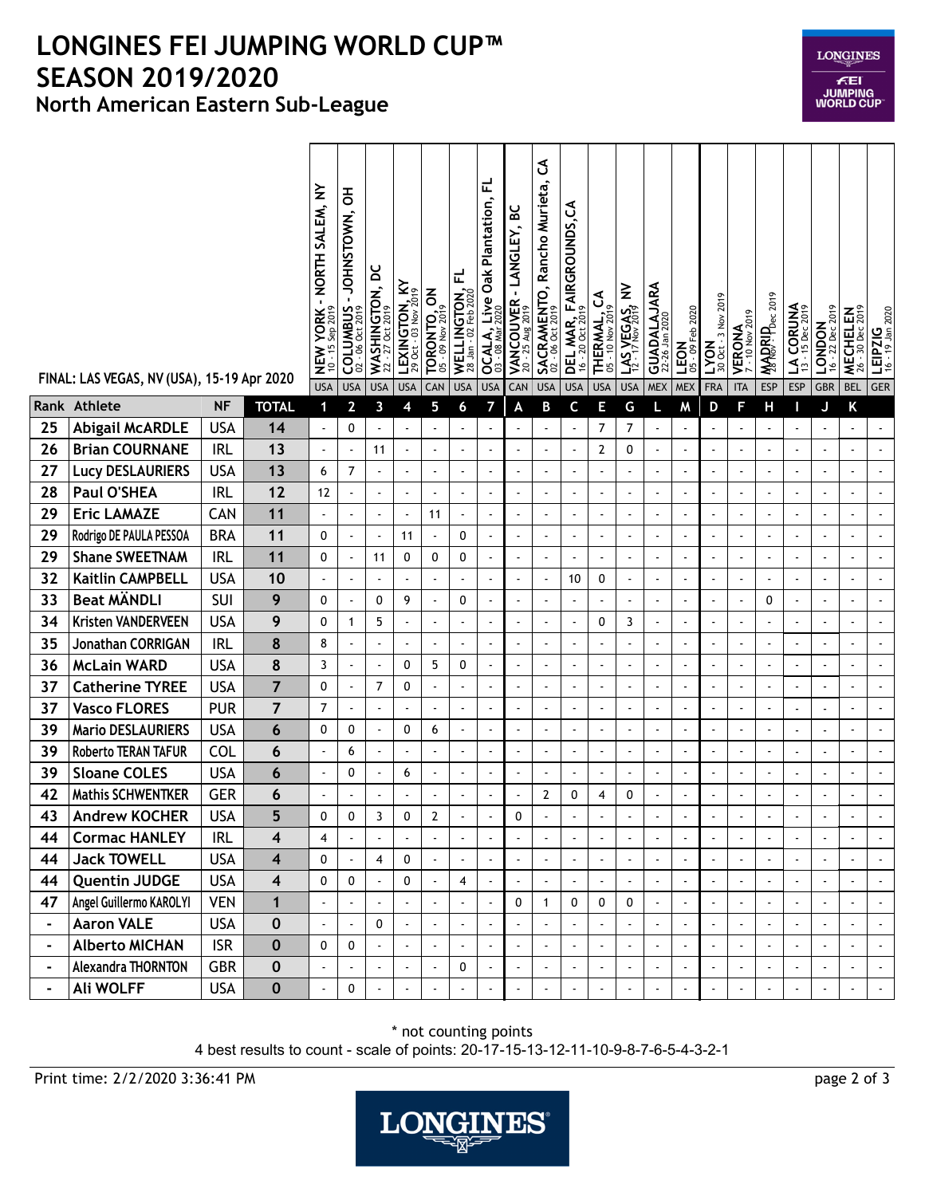## **North American Eastern Sub-League LONGINES FEI JUMPING WORLD CUP™ SEASON 2019/2020**

|                | FINAL: LAS VEGAS, NV (USA), 15-19 Apr 2020 |            |                         | - NORTH SALEM, NY<br>NEW YORK-<br>10 - 15 Sep 2019 | 동<br>-JOHNSTOWN,<br>COLUMBUS | $WASHINGTON, DC$<br>$22 - 27 Oct 2019$ | LEXINGTON, KY<br>$^{29}$ Oct - 03 Nov $^{2019}$ | <b>TORONTO, ON</b><br>05 - 09 Nov 2019 | WELLINGTON, FL<br>28 Jan - 02 Feb 2020 | ᇆ<br><b>OCALA, Live Oak Plantation,</b><br>03 - 08 Mar 2020 | VANCOUVER - LANGLEY, BC<br>$-25$ Aug 2019<br>20 | ჯ<br><b>SACRAMENTO, Rancho Murieta,</b><br>02 - 06 Oct 2019 | DEL MAR, FAIRGROUNDS, CA | THERMAL, CA          | $1.45$ , $Y_EGAS$ , NV   | <b>GUADALAJARA</b><br>22-26 Jan 2020 | $-09$ Feb 2020<br>LEON   | 3 Nov 2019<br>LYON<br>300ct | <b>VERONA</b><br>7-10 Nov 2019 | <b>WADRIPDec 2019</b> | <b>LA CORUNA</b><br>13 - 15 Dec 2019 | 16 - 22 Dec 2019<br><b>LONDON</b> | 2019<br>MECHELEN<br>26 - 30 Dec 2019 | LEIPZIG<br>16 - 19 Jan 2020 |
|----------------|--------------------------------------------|------------|-------------------------|----------------------------------------------------|------------------------------|----------------------------------------|-------------------------------------------------|----------------------------------------|----------------------------------------|-------------------------------------------------------------|-------------------------------------------------|-------------------------------------------------------------|--------------------------|----------------------|--------------------------|--------------------------------------|--------------------------|-----------------------------|--------------------------------|-----------------------|--------------------------------------|-----------------------------------|--------------------------------------|-----------------------------|
| Rank           | Athlete                                    | <b>NF</b>  | <b>TOTAL</b>            | <b>USA</b><br>$\mathbf{1}$                         | <b>USA</b><br>$\overline{2}$ | <b>USA</b><br>3                        | <b>USA</b><br>4                                 | CAN<br>5                               | <b>USA</b><br>6                        | <b>USA</b><br>7                                             | CAN<br>A                                        | <b>USA</b><br>В                                             | <b>USA</b><br>C          | <b>USA</b><br>E      | <b>USA</b><br>G          | <b>MEX</b><br>L                      | <b>MEX</b><br>м          | <b>FRA</b><br>D             | <b>ITA</b><br>F                | <b>ESP</b><br>Н       | <b>ESP</b><br>Π                      | <b>GBR</b><br>J                   | <b>BEL</b><br>Κ                      | <b>GER</b>                  |
| 25             | <b>Abigail McARDLE</b>                     | <b>USA</b> | 14                      | $\overline{\phantom{a}}$                           | 0                            | $\blacksquare$                         |                                                 |                                        |                                        |                                                             |                                                 |                                                             |                          | 7                    | 7                        |                                      |                          |                             |                                |                       | $\blacksquare$                       |                                   | ÷,                                   |                             |
| 26             | <b>Brian COURNANE</b>                      | <b>IRL</b> | 13                      | ÷,                                                 | $\blacksquare$               | 11                                     | $\blacksquare$                                  | $\sim$                                 | $\overline{\phantom{a}}$               |                                                             | $\blacksquare$                                  | $\blacksquare$                                              | $\sim$                   | $\mathbf{2}$         | 0                        | $\tilde{\phantom{a}}$                | $\blacksquare$           | $\sim$                      |                                |                       | $\overline{\phantom{a}}$             | $\blacksquare$                    | $\tilde{\phantom{a}}$                |                             |
| 27             | <b>Lucy DESLAURIERS</b>                    | <b>USA</b> | 13                      | 6                                                  | $\overline{7}$               | $\blacksquare$                         |                                                 | $\blacksquare$                         | $\blacksquare$                         | $\blacksquare$                                              | $\blacksquare$                                  | $\blacksquare$                                              |                          | $\blacksquare$       | ÷,                       | $\blacksquare$                       | $\overline{\phantom{a}}$ | ÷,                          | $\overline{a}$                 |                       | ÷,                                   | $\blacksquare$                    | $\blacksquare$                       |                             |
| 28             | Paul O'SHEA                                | <b>IRL</b> | 12                      | 12                                                 | $\blacksquare$               | ä,                                     |                                                 | $\sim$                                 | $\blacksquare$                         |                                                             | $\tilde{\phantom{a}}$                           | $\sim$                                                      | $\sim$                   | ÷,                   | $\tilde{\phantom{a}}$    | $\tilde{\phantom{a}}$                | $\blacksquare$           | $\overline{\phantom{a}}$    |                                | L,                    | $\blacksquare$                       | ä,                                | $\ddot{\phantom{a}}$                 |                             |
| 29             | <b>Eric LAMAZE</b>                         | CAN        | 11                      | ÷,                                                 |                              | $\blacksquare$                         |                                                 | 11                                     | ÷,                                     |                                                             | $\overline{a}$                                  | $\ddot{\phantom{a}}$                                        |                          | ÷,                   |                          |                                      |                          | $\ddot{\phantom{0}}$        |                                |                       | ÷,                                   | Ĭ.                                | ÷,                                   |                             |
| 29             | Rodrigo DE PAULA PESSOA                    | <b>BRA</b> | 11                      | 0                                                  | $\blacksquare$               | $\blacksquare$                         | 11                                              |                                        | 0                                      |                                                             | $\blacksquare$                                  | $\blacksquare$                                              | $\sim$                   | $\blacksquare$       | $\blacksquare$           | $\sim$                               | $\overline{a}$           | $\sim$                      |                                |                       | $\sim$                               | $\blacksquare$                    | $\blacksquare$                       |                             |
| 29             | <b>Shane SWEETNAM</b>                      | <b>IRL</b> | 11                      | 0                                                  | $\overline{\phantom{a}}$     | 11                                     | 0                                               | 0                                      | 0                                      |                                                             | $\blacksquare$                                  | $\blacksquare$                                              |                          | $\blacksquare$       |                          | $\blacksquare$                       | $\blacksquare$           | $\blacksquare$              |                                |                       | $\blacksquare$                       | ä,                                | $\overline{\phantom{a}}$             |                             |
| 32             | <b>Kaitlin CAMPBELL</b>                    | <b>USA</b> | 10                      | $\overline{a}$                                     | $\blacksquare$               | $\blacksquare$                         |                                                 | ÷,                                     | $\overline{\phantom{a}}$               |                                                             | $\overline{\phantom{a}}$                        | $\blacksquare$                                              | 10                       | 0                    | ÷,                       | $\hat{\phantom{a}}$                  | $\blacksquare$           | $\overline{\phantom{a}}$    |                                |                       | $\blacksquare$                       | ä,                                | $\hat{\phantom{a}}$                  |                             |
| 33             | <b>Beat MÄNDLI</b>                         | SUI        | 9                       | 0                                                  |                              | 0                                      | 9                                               |                                        | 0                                      |                                                             | $\overline{a}$                                  | $\ddot{\phantom{0}}$                                        |                          | ÷,                   | ÷,                       | $\sim$                               |                          | ÷,                          |                                | 0                     | $\ddot{\phantom{a}}$                 |                                   | ÷,                                   |                             |
| 34             | Kristen VANDERVEEN                         | <b>USA</b> | 9                       | 0                                                  | $\mathbf{1}$                 | 5                                      |                                                 | ÷,                                     | $\overline{\phantom{a}}$               |                                                             | $\blacksquare$                                  | $\overline{\phantom{a}}$                                    |                          | 0                    | 3                        | $\sim$                               | $\overline{a}$           | $\sim$                      |                                |                       | ÷,                                   | $\blacksquare$                    | $\blacksquare$                       |                             |
| 35             | Jonathan CORRIGAN                          | <b>IRL</b> | 8                       | 8                                                  |                              | $\blacksquare$                         | $\blacksquare$                                  | ä,                                     | $\blacksquare$                         |                                                             | $\tilde{\phantom{a}}$                           | $\blacksquare$                                              | $\blacksquare$           | $\ddot{\phantom{a}}$ | ÷,                       | $\blacksquare$                       | $\overline{a}$           | $\sim$                      | $\overline{a}$                 | $\ddot{\phantom{0}}$  | $\blacksquare$                       | $\blacksquare$                    | $\blacksquare$                       | $\tilde{\phantom{a}}$       |
| 36             | <b>McLain WARD</b>                         | <b>USA</b> | 8                       | 3                                                  | $\blacksquare$               | $\Box$                                 | 0                                               | 5                                      | 0                                      |                                                             | $\blacksquare$                                  | $\blacksquare$                                              | $\blacksquare$           | $\ddot{\phantom{a}}$ | $\tilde{\phantom{a}}$    | $\blacksquare$                       | $\blacksquare$           | $\blacksquare$              | $\blacksquare$                 | $\ddot{\phantom{a}}$  | $\blacksquare$                       | $\blacksquare$                    | $\hat{\phantom{a}}$                  |                             |
| 37             | <b>Catherine TYREE</b>                     | <b>USA</b> | $\overline{7}$          | 0                                                  |                              | $\overline{7}$                         | 0                                               | ä,                                     | $\overline{\phantom{a}}$               |                                                             | $\mathbf{r}$                                    | ÷,                                                          |                          | ÷,                   |                          | ä,                                   |                          | ÷,                          |                                |                       | $\ddot{\phantom{a}}$                 | ä,                                | $\overline{\phantom{a}}$             |                             |
| 37             | <b>Vasco FLORES</b>                        | <b>PUR</b> | $\overline{7}$          | 7                                                  | $\blacksquare$               | $\blacksquare$                         |                                                 | $\blacksquare$                         | $\blacksquare$                         |                                                             | $\blacksquare$                                  | $\blacksquare$                                              | $\sim$                   | $\ddot{\phantom{0}}$ | $\blacksquare$           | $\sim$                               | $\blacksquare$           | $\sim$                      |                                |                       | $\blacksquare$                       | $\blacksquare$                    | $\blacksquare$                       |                             |
| 39             | <b>Mario DESLAURIERS</b>                   | <b>USA</b> | 6                       | 0                                                  | 0                            | $\blacksquare$                         | 0                                               | 6                                      | $\blacksquare$                         |                                                             | $\blacksquare$                                  | $\ddot{\phantom{0}}$                                        | $\blacksquare$           | $\ddot{\phantom{a}}$ | $\overline{\phantom{a}}$ | $\sim$                               | $\blacksquare$           | $\blacksquare$              |                                | $\ddot{\phantom{0}}$  | ÷,                                   | $\overline{\phantom{a}}$          | $\blacksquare$                       |                             |
| 39             | Roberto TERAN TAFUR                        | COL        | 6                       | $\blacksquare$                                     | 6                            | $\blacksquare$                         | $\blacksquare$                                  | $\blacksquare$                         | $\blacksquare$                         |                                                             | $\blacksquare$                                  | $\blacksquare$                                              | $\overline{\phantom{a}}$ | $\ddot{\phantom{0}}$ | $\blacksquare$           | $\blacksquare$                       | $\ddot{\phantom{0}}$     | $\blacksquare$              | $\blacksquare$                 |                       | ÷,                                   | $\blacksquare$                    | $\blacksquare$                       |                             |
| 39             | <b>Sloane COLES</b>                        | <b>USA</b> | 6                       | $\blacksquare$                                     | 0                            | $\overline{\phantom{a}}$               | 6                                               | ÷,                                     | $\blacksquare$                         |                                                             | $\tilde{\phantom{a}}$                           | ÷,                                                          | $\blacksquare$           | ÷,                   | ÷,                       | $\overline{\phantom{a}}$             | ä,                       | ÷,                          |                                |                       | $\blacksquare$                       | ä,                                | $\overline{a}$                       |                             |
| 42             | <b>Mathis SCHWENTKER</b>                   | <b>GER</b> | 6                       | $\overline{\phantom{a}}$                           | $\blacksquare$               | $\blacksquare$                         |                                                 | ÷.                                     | $\sim$                                 |                                                             | $\sim$                                          | $\overline{2}$                                              | 0                        | 4                    | 0                        | $\sim$                               | $\blacksquare$           | $\ddot{\phantom{1}}$        |                                |                       |                                      |                                   | $\overline{\phantom{a}}$             |                             |
| 43             | <b>Andrew KOCHER</b>                       | <b>USA</b> | 5                       | 0                                                  | 0                            | 3                                      | 0                                               | $\mathbf{2}$                           | ä,                                     |                                                             | 0                                               |                                                             |                          |                      |                          | $\overline{\phantom{a}}$             |                          | $\blacksquare$              |                                |                       |                                      |                                   | $\blacksquare$                       |                             |
| 44             | <b>Cormac HANLEY</b>                       | <b>IRL</b> | 4                       | 4                                                  |                              | $\blacksquare$                         | $\blacksquare$                                  |                                        | $\blacksquare$                         |                                                             | $\blacksquare$                                  | $\blacksquare$                                              |                          | $\blacksquare$       |                          | $\blacksquare$                       |                          | $\blacksquare$              |                                |                       | $\blacksquare$                       | $\overline{\phantom{a}}$          | $\blacksquare$                       |                             |
| 44             | <b>Jack TOWELL</b>                         | <b>USA</b> | $\overline{\mathbf{4}}$ | 0                                                  |                              | $\overline{4}$                         | 0                                               |                                        | t,                                     |                                                             | $\blacksquare$                                  | $\ddot{\phantom{a}}$                                        |                          | $\ddot{\phantom{a}}$ |                          | $\overline{\phantom{a}}$             |                          | $\overline{a}$              |                                |                       | $\sim$                               | $\blacksquare$                    | $\mathbb{Z}^2$                       | $\bullet$                   |
| 44             | <b>Quentin JUDGE</b>                       | <b>USA</b> | $\overline{\mathbf{4}}$ | 0                                                  | 0                            | $\blacksquare$                         | 0                                               | $\sim$                                 | $\overline{4}$                         | $\blacksquare$                                              | $\blacksquare$                                  | $\blacksquare$                                              | $\blacksquare$           | ÷,                   | $\blacksquare$           | $\blacksquare$                       |                          | ÷,                          |                                |                       | ÷,                                   | $\overline{\phantom{a}}$          | $\blacksquare$                       | $\blacksquare$              |
| 47             | Angel Guillermo KAROLYI                    | <b>VEN</b> | $\mathbf{1}$            | $\blacksquare$                                     | $\ddot{\phantom{a}}$         | $\blacksquare$                         | $\blacksquare$                                  | $\blacksquare$                         | $\tilde{\phantom{a}}$                  | $\sim$                                                      | $\mathbf 0$                                     | $\mathbf{1}$                                                | 0                        | 0                    | 0                        | $\blacksquare$                       | $\blacksquare$           | $\ddot{\phantom{a}}$        |                                |                       | $\blacksquare$                       | ä,                                | $\blacksquare$                       | $\blacksquare$              |
| $\blacksquare$ | <b>Aaron VALE</b>                          | <b>USA</b> | $\bf{0}$                | $\blacksquare$                                     |                              | 0                                      |                                                 |                                        | $\blacksquare$                         |                                                             |                                                 |                                                             | $\blacksquare$           |                      |                          | $\blacksquare$                       |                          | ÷,                          |                                |                       | $\blacksquare$                       |                                   | $\blacksquare$                       |                             |
| $\blacksquare$ | <b>Alberto MICHAN</b>                      | <b>ISR</b> | $\bf{0}$                | 0                                                  | 0                            | $\blacksquare$                         | $\blacksquare$                                  | $\blacksquare$                         | $\ddot{\phantom{1}}$                   |                                                             | $\blacksquare$                                  | ÷,                                                          | $\blacksquare$           |                      |                          | $\blacksquare$                       | $\blacksquare$           | $\ddot{\phantom{a}}$        |                                |                       | $\blacksquare$                       | ä,                                | $\blacksquare$                       |                             |
|                | Alexandra THORNTON                         | <b>GBR</b> | $\bf{0}$                | $\blacksquare$                                     | $\blacksquare$               | $\blacksquare$                         | $\overline{\phantom{a}}$                        | $\sim$                                 | 0                                      |                                                             | $\blacksquare$                                  | ÷,                                                          | $\blacksquare$           | $\ddot{\phantom{a}}$ | $\tilde{\phantom{a}}$    | $\blacksquare$                       |                          | $\ddot{\phantom{a}}$        | $\sim$                         |                       | $\overline{a}$                       | ä,                                | $\omega$                             | $\bullet$                   |
|                | <b>Ali WOLFF</b>                           | <b>USA</b> | $\pmb{0}$               | L.                                                 | 0                            | ä,                                     |                                                 |                                        | $\ddot{\phantom{a}}$                   |                                                             | $\mathbf{r}$                                    | $\mathbf{r}$                                                | $\mathbf{r}$             | $\sim$               | $\tilde{\phantom{a}}$    | $\hat{\phantom{a}}$                  |                          | $\mathbf{r}$                |                                |                       | $\overline{\phantom{a}}$             |                                   | $\omega$                             | $\sim$                      |

4 best results to count - scale of points: 20-17-15-13-12-11-10-9-8-7-6-5-4-3-2-1 \* not counting points

Print time: 2/2/2020 3:36:41 PM page 2 of 3



**LONGINES FEI<br>JUMPING<br>WORLD CUP**